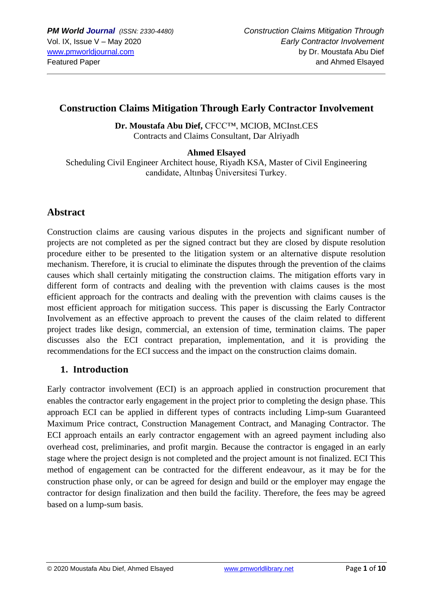# **Construction Claims Mitigation Through Early Contractor Involvement**

Dr. Moustafa Abu Dief, CFCC™, MCIOB, MCInst.CES Contracts and Claims Consultant, Dar Alriyadh

**Ahmed Elsayed**

Scheduling Civil Engineer Architect house, Riyadh KSA, Master of Civil Engineering candidate, Altınbaş Üniversitesi Turkey.

# **Abstract**

Construction claims are causing various disputes in the projects and significant number of projects are not completed as per the signed contract but they are closed by dispute resolution procedure either to be presented to the litigation system or an alternative dispute resolution mechanism. Therefore, it is crucial to eliminate the disputes through the prevention of the claims causes which shall certainly mitigating the construction claims. The mitigation efforts vary in different form of contracts and dealing with the prevention with claims causes is the most efficient approach for the contracts and dealing with the prevention with claims causes is the most efficient approach for mitigation success. This paper is discussing the Early Contractor Involvement as an effective approach to prevent the causes of the claim related to different project trades like design, commercial, an extension of time, termination claims. The paper discusses also the ECI contract preparation, implementation, and it is providing the recommendations for the ECI success and the impact on the construction claims domain.

### **1. Introduction**

Early contractor involvement (ECI) is an approach applied in construction procurement that enables the contractor early engagement in the project prior to completing the design phase. This approach ECI can be applied in different types of contracts including Limp-sum Guaranteed Maximum Price contract, Construction Management Contract, and Managing Contractor. The ECI approach entails an early contractor engagement with an agreed payment including also overhead cost, preliminaries, and profit margin. Because the contractor is engaged in an early stage where the project design is not completed and the project amount is not finalized. ECI This method of engagement can be contracted for the different endeavour, as it may be for the construction phase only, or can be agreed for design and build or the employer may engage the contractor for design finalization and then build the facility. Therefore, the fees may be agreed based on a lump-sum basis.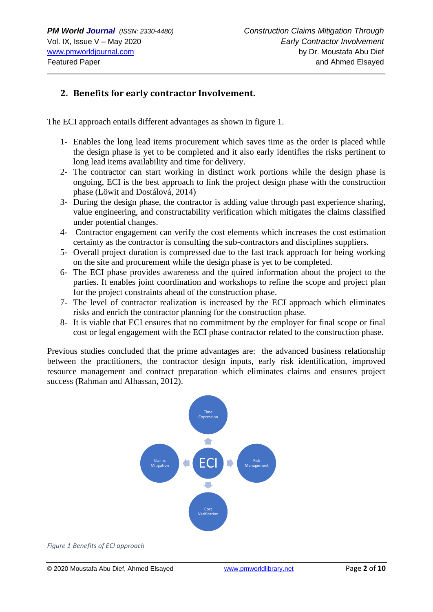# **2. Benefits for early contractor Involvement.**

The ECI approach entails different advantages as shown in figure 1.

- 1- Enables the long lead items procurement which saves time as the order is placed while the design phase is yet to be completed and it also early identifies the risks pertinent to long lead items availability and time for delivery.
- 2- The contractor can start working in distinct work portions while the design phase is ongoing, ECI is the best approach to link the project design phase with the construction phase (Löwit and Dostálová, 2014)
- 3- During the design phase, the contractor is adding value through past experience sharing, value engineering, and constructability verification which mitigates the claims classified under potential changes.
- 4- Contractor engagement can verify the cost elements which increases the cost estimation certainty as the contractor is consulting the sub-contractors and disciplines suppliers.
- 5- Overall project duration is compressed due to the fast track approach for being working on the site and procurement while the design phase is yet to be completed.
- 6- The ECI phase provides awareness and the quired information about the project to the parties. It enables joint coordination and workshops to refine the scope and project plan for the project constraints ahead of the construction phase.
- 7- The level of contractor realization is increased by the ECI approach which eliminates risks and enrich the contractor planning for the construction phase.
- 8- It is viable that ECI ensures that no commitment by the employer for final scope or final cost or legal engagement with the ECI phase contractor related to the construction phase.

Previous studies concluded that the prime advantages are: the advanced business relationship between the practitioners, the contractor design inputs, early risk identification, improved resource management and contract preparation which eliminates claims and ensures project success (Rahman and Alhassan, 2012).



*Figure 1 Benefits of ECI approach*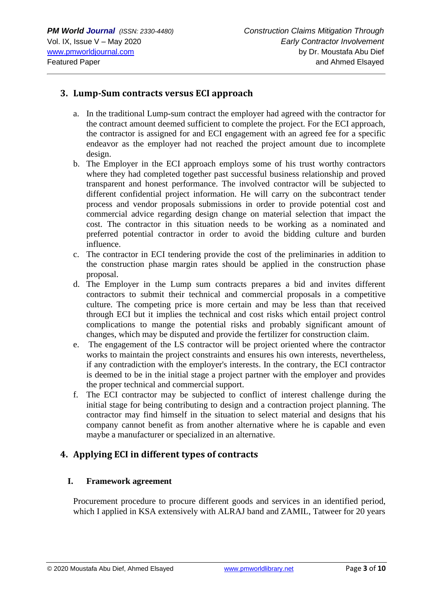#### **3. Lump-Sum contracts versus ECI approach**

- a. In the traditional Lump-sum contract the employer had agreed with the contractor for the contract amount deemed sufficient to complete the project. For the ECI approach, the contractor is assigned for and ECI engagement with an agreed fee for a specific endeavor as the employer had not reached the project amount due to incomplete design.
- b. The Employer in the ECI approach employs some of his trust worthy contractors where they had completed together past successful business relationship and proved transparent and honest performance. The involved contractor will be subjected to different confidential project information. He will carry on the subcontract tender process and vendor proposals submissions in order to provide potential cost and commercial advice regarding design change on material selection that impact the cost. The contractor in this situation needs to be working as a nominated and preferred potential contractor in order to avoid the bidding culture and burden influence.
- c. The contractor in ECI tendering provide the cost of the preliminaries in addition to the construction phase margin rates should be applied in the construction phase proposal.
- d. The Employer in the Lump sum contracts prepares a bid and invites different contractors to submit their technical and commercial proposals in a competitive culture. The competing price is more certain and may be less than that received through ECI but it implies the technical and cost risks which entail project control complications to mange the potential risks and probably significant amount of changes, which may be disputed and provide the fertilizer for construction claim.
- e. The engagement of the LS contractor will be project oriented where the contractor works to maintain the project constraints and ensures his own interests, nevertheless, if any contradiction with the employer's interests. In the contrary, the ECI contractor is deemed to be in the initial stage a project partner with the employer and provides the proper technical and commercial support.
- f. The ECI contractor may be subjected to conflict of interest challenge during the initial stage for being contributing to design and a contraction project planning. The contractor may find himself in the situation to select material and designs that his company cannot benefit as from another alternative where he is capable and even maybe a manufacturer or specialized in an alternative.

### **4. Applying ECI in different types of contracts**

#### **I. Framework agreement**

Procurement procedure to procure different goods and services in an identified period, which I applied in KSA extensively with ALRAJ band and ZAMIL, Tatweer for 20 years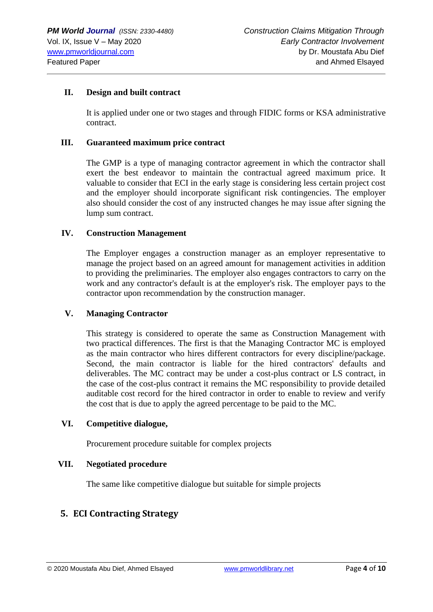#### **II. Design and built contract**

It is applied under one or two stages and through FIDIC forms or KSA administrative contract.

#### **III. Guaranteed maximum price contract**

The GMP is a type of managing contractor agreement in which the contractor shall exert the best endeavor to maintain the contractual agreed maximum price. It valuable to consider that ECI in the early stage is considering less certain project cost and the employer should incorporate significant risk contingencies. The employer also should consider the cost of any instructed changes he may issue after signing the lump sum contract.

#### **IV. Construction Management**

The Employer engages a construction manager as an employer representative to manage the project based on an agreed amount for management activities in addition to providing the preliminaries. The employer also engages contractors to carry on the work and any contractor's default is at the employer's risk. The employer pays to the contractor upon recommendation by the construction manager.

#### **V. Managing Contractor**

This strategy is considered to operate the same as Construction Management with two practical differences. The first is that the Managing Contractor MC is employed as the main contractor who hires different contractors for every discipline/package. Second, the main contractor is liable for the hired contractors' defaults and deliverables. The MC contract may be under a cost-plus contract or LS contract, in the case of the cost-plus contract it remains the MC responsibility to provide detailed auditable cost record for the hired contractor in order to enable to review and verify the cost that is due to apply the agreed percentage to be paid to the MC.

#### **VI. Competitive dialogue,**

Procurement procedure suitable for complex projects

#### **VII. Negotiated procedure**

The same like competitive dialogue but suitable for simple projects

### **5. ECI Contracting Strategy**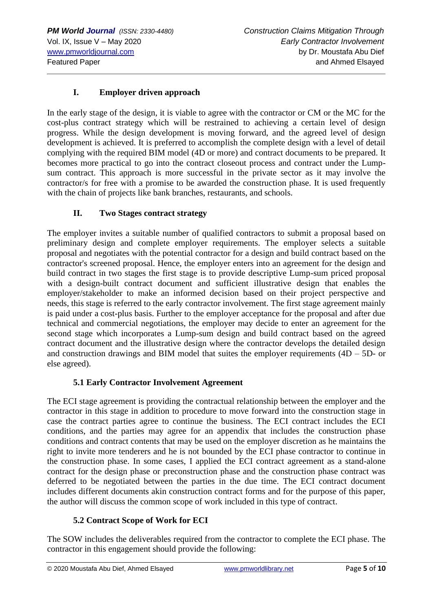### **I. Employer driven approach**

In the early stage of the design, it is viable to agree with the contractor or CM or the MC for the cost-plus contract strategy which will be restrained to achieving a certain level of design progress. While the design development is moving forward, and the agreed level of design development is achieved. It is preferred to accomplish the complete design with a level of detail complying with the required BIM model (4D or more) and contract documents to be prepared. It becomes more practical to go into the contract closeout process and contract under the Lumpsum contract. This approach is more successful in the private sector as it may involve the contractor/s for free with a promise to be awarded the construction phase. It is used frequently with the chain of projects like bank branches, restaurants, and schools.

### **II. Two Stages contract strategy**

The employer invites a suitable number of qualified contractors to submit a proposal based on preliminary design and complete employer requirements. The employer selects a suitable proposal and negotiates with the potential contractor for a design and build contract based on the contractor's screened proposal. Hence, the employer enters into an agreement for the design and build contract in two stages the first stage is to provide descriptive Lump-sum priced proposal with a design-built contract document and sufficient illustrative design that enables the employer/stakeholder to make an informed decision based on their project perspective and needs, this stage is referred to the early contractor involvement. The first stage agreement mainly is paid under a cost-plus basis. Further to the employer acceptance for the proposal and after due technical and commercial negotiations, the employer may decide to enter an agreement for the second stage which incorporates a Lump-sum design and build contract based on the agreed contract document and the illustrative design where the contractor develops the detailed design and construction drawings and BIM model that suites the employer requirements  $(4D - 5D - 0r)$ else agreed).

### **5.1 Early Contractor Involvement Agreement**

The ECI stage agreement is providing the contractual relationship between the employer and the contractor in this stage in addition to procedure to move forward into the construction stage in case the contract parties agree to continue the business. The ECI contract includes the ECI conditions, and the parties may agree for an appendix that includes the construction phase conditions and contract contents that may be used on the employer discretion as he maintains the right to invite more tenderers and he is not bounded by the ECI phase contractor to continue in the construction phase. In some cases, I applied the ECI contract agreement as a stand-alone contract for the design phase or preconstruction phase and the construction phase contract was deferred to be negotiated between the parties in the due time. The ECI contract document includes different documents akin construction contract forms and for the purpose of this paper, the author will discuss the common scope of work included in this type of contract.

### **5.2 Contract Scope of Work for ECI**

The SOW includes the deliverables required from the contractor to complete the ECI phase. The contractor in this engagement should provide the following: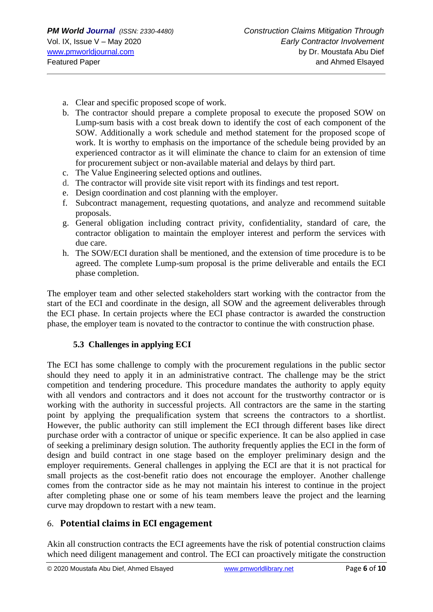- a. Clear and specific proposed scope of work.
- b. The contractor should prepare a complete proposal to execute the proposed SOW on Lump-sum basis with a cost break down to identify the cost of each component of the SOW. Additionally a work schedule and method statement for the proposed scope of work. It is worthy to emphasis on the importance of the schedule being provided by an experienced contractor as it will eliminate the chance to claim for an extension of time for procurement subject or non-available material and delays by third part.
- c. The Value Engineering selected options and outlines.
- d. The contractor will provide site visit report with its findings and test report.
- e. Design coordination and cost planning with the employer.
- f. Subcontract management, requesting quotations, and analyze and recommend suitable proposals.
- g. General obligation including contract privity, confidentiality, standard of care, the contractor obligation to maintain the employer interest and perform the services with due care.
- h. The SOW/ECI duration shall be mentioned, and the extension of time procedure is to be agreed. The complete Lump-sum proposal is the prime deliverable and entails the ECI phase completion.

The employer team and other selected stakeholders start working with the contractor from the start of the ECI and coordinate in the design, all SOW and the agreement deliverables through the ECI phase. In certain projects where the ECI phase contractor is awarded the construction phase, the employer team is novated to the contractor to continue the with construction phase.

#### **5.3 Challenges in applying ECI**

The ECI has some challenge to comply with the procurement regulations in the public sector should they need to apply it in an administrative contract. The challenge may be the strict competition and tendering procedure. This procedure mandates the authority to apply equity with all vendors and contractors and it does not account for the trustworthy contractor or is working with the authority in successful projects. All contractors are the same in the starting point by applying the prequalification system that screens the contractors to a shortlist. However, the public authority can still implement the ECI through different bases like direct purchase order with a contractor of unique or specific experience. It can be also applied in case of seeking a preliminary design solution. The authority frequently applies the ECI in the form of design and build contract in one stage based on the employer preliminary design and the employer requirements. General challenges in applying the ECI are that it is not practical for small projects as the cost-benefit ratio does not encourage the employer. Another challenge comes from the contractor side as he may not maintain his interest to continue in the project after completing phase one or some of his team members leave the project and the learning curve may dropdown to restart with a new team.

### 6. **Potential claims in ECI engagement**

Akin all construction contracts the ECI agreements have the risk of potential construction claims which need diligent management and control. The ECI can proactively mitigate the construction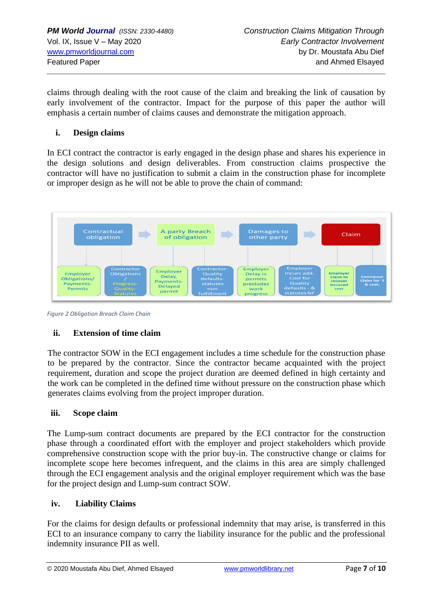claims through dealing with the root cause of the claim and breaking the link of causation by early involvement of the contractor. Impact for the purpose of this paper the author will emphasis a certain number of claims causes and demonstrate the mitigation approach.

#### **i. Design claims**

In ECI contract the contractor is early engaged in the design phase and shares his experience in the design solutions and design deliverables. From construction claims prospective the contractor will have no justification to submit a claim in the construction phase for incomplete or improper design as he will not be able to prove the chain of command:



*Figure 2 Obligation Breach Claim Chain*

### **ii. Extension of time claim**

The contractor SOW in the ECI engagement includes a time schedule for the construction phase to be prepared by the contractor. Since the contractor became acquainted with the project requirement, duration and scope the project duration are deemed defined in high certainty and the work can be completed in the defined time without pressure on the construction phase which generates claims evolving from the project improper duration.

#### **iii. Scope claim**

The Lump-sum contract documents are prepared by the ECI contractor for the construction phase through a coordinated effort with the employer and project stakeholders which provide comprehensive construction scope with the prior buy-in. The constructive change or claims for incomplete scope here becomes infrequent, and the claims in this area are simply challenged through the ECI engagement analysis and the original employer requirement which was the base for the project design and Lump-sum contract SOW.

#### **iv. Liability Claims**

For the claims for design defaults or professional indemnity that may arise, is transferred in this ECI to an insurance company to carry the liability insurance for the public and the professional indemnity insurance PII as well.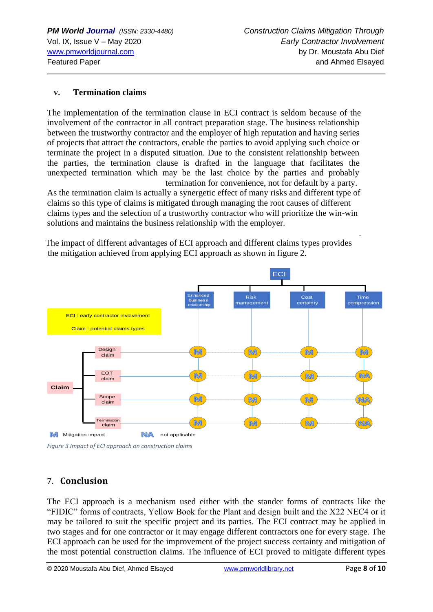#### **v. Termination claims**

The implementation of the termination clause in ECI contract is seldom because of the involvement of the contractor in all contract preparation stage. The business relationship between the trustworthy contractor and the employer of high reputation and having series of projects that attract the contractors, enable the parties to avoid applying such choice or terminate the project in a disputed situation. Due to the consistent relationship between the parties, the termination clause is drafted in the language that facilitates the unexpected termination which may be the last choice by the parties and probably termination for convenience, not for default by a party.

As the termination claim is actually a synergetic effect of many risks and different type of claims so this type of claims is mitigated through managing the root causes of different claims types and the selection of a trustworthy contractor who will prioritize the win-win solutions and maintains the business relationship with the employer.

The impact of different advantages of ECI approach and different claims types provides the mitigation achieved from applying ECI approach as shown in figure 2.



*Figure 3 Impact of ECI approach on construction claims*

### 7. **Conclusion**

The ECI approach is a mechanism used either with the stander forms of contracts like the "FIDIC" forms of contracts, Yellow Book for the Plant and design built and the X22 NEC4 or it may be tailored to suit the specific project and its parties. The ECI contract may be applied in two stages and for one contractor or it may engage different contractors one for every stage. The ECI approach can be used for the improvement of the project success certainty and mitigation of the most potential construction claims. The influence of ECI proved to mitigate different types

.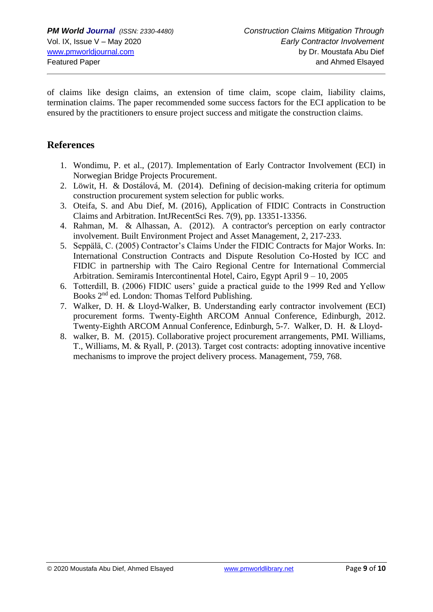of claims like design claims, an extension of time claim, scope claim, liability claims, termination claims. The paper recommended some success factors for the ECI application to be ensured by the practitioners to ensure project success and mitigate the construction claims.

# **References**

- 1. Wondimu, P. et al., (2017). Implementation of Early Contractor Involvement (ECI) in Norwegian Bridge Projects Procurement.
- 2. Löwit, H. & Dostálová, M. (2014). Defining of decision-making criteria for optimum construction procurement system selection for public works.
- 3. Oteifa, S. and Abu Dief, M. (2016), Application of FIDIC Contracts in Construction Claims and Arbitration. IntJRecentSci Res. 7(9), pp. 13351-13356.
- 4. Rahman, M. & Alhassan, A. (2012). A contractor's perception on early contractor involvement. Built Environment Project and Asset Management, 2, 217-233.
- 5. Seppälä, C. (2005) Contractor's Claims Under the FIDIC Contracts for Major Works. In: International Construction Contracts and Dispute Resolution Co-Hosted by ICC and FIDIC in partnership with The Cairo Regional Centre for International Commercial Arbitration. Semiramis Intercontinental Hotel, Cairo, Egypt April 9 – 10, 2005
- 6. Totterdill, B. (2006) FIDIC users' guide a practical guide to the 1999 Red and Yellow Books 2nd ed. London: Thomas Telford Publishing.
- 7. Walker, D. H. & Lloyd-Walker, B. Understanding early contractor involvement (ECI) procurement forms. Twenty-Eighth ARCOM Annual Conference, Edinburgh, 2012. Twenty-Eighth ARCOM Annual Conference, Edinburgh, 5-7. Walker, D. H. & Lloyd-
- 8. walker, B. M. (2015). Collaborative project procurement arrangements, PMI. Williams, T., Williams, M. & Ryall, P. (2013). Target cost contracts: adopting innovative incentive mechanisms to improve the project delivery process. Management, 759, 768.